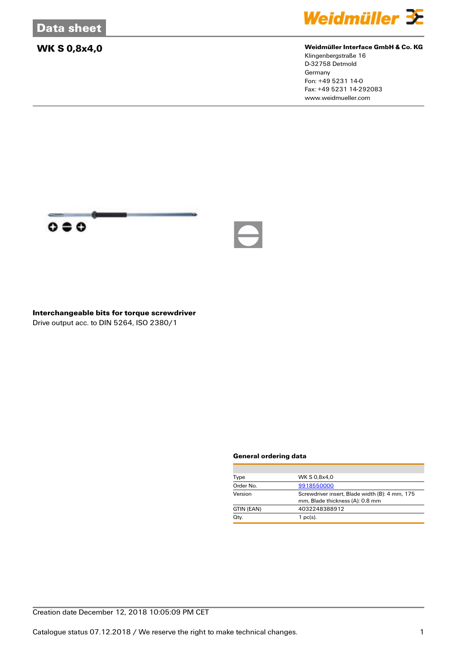

### **WK S 0,8x4,0 Weidmüller Interface GmbH & Co. KG**

Klingenbergstraße 16 D-32758 Detmold Germany Fon: +49 5231 14-0 Fax: +49 5231 14-292083 www.weidmueller.com



**Interchangeable bits for torque screwdriver** Drive output acc. to DIN 5264, ISO 2380/1

### **General ordering data**

| Type       | WK S 0.8x4.0                                                                      |  |  |
|------------|-----------------------------------------------------------------------------------|--|--|
| Order No.  | 9918550000                                                                        |  |  |
| Version    | Screwdriver insert, Blade width (B): 4 mm, 175<br>mm, Blade thickness (A): 0.8 mm |  |  |
| GTIN (EAN) | 4032248388912                                                                     |  |  |
| Qty.       | $1$ pc(s).                                                                        |  |  |